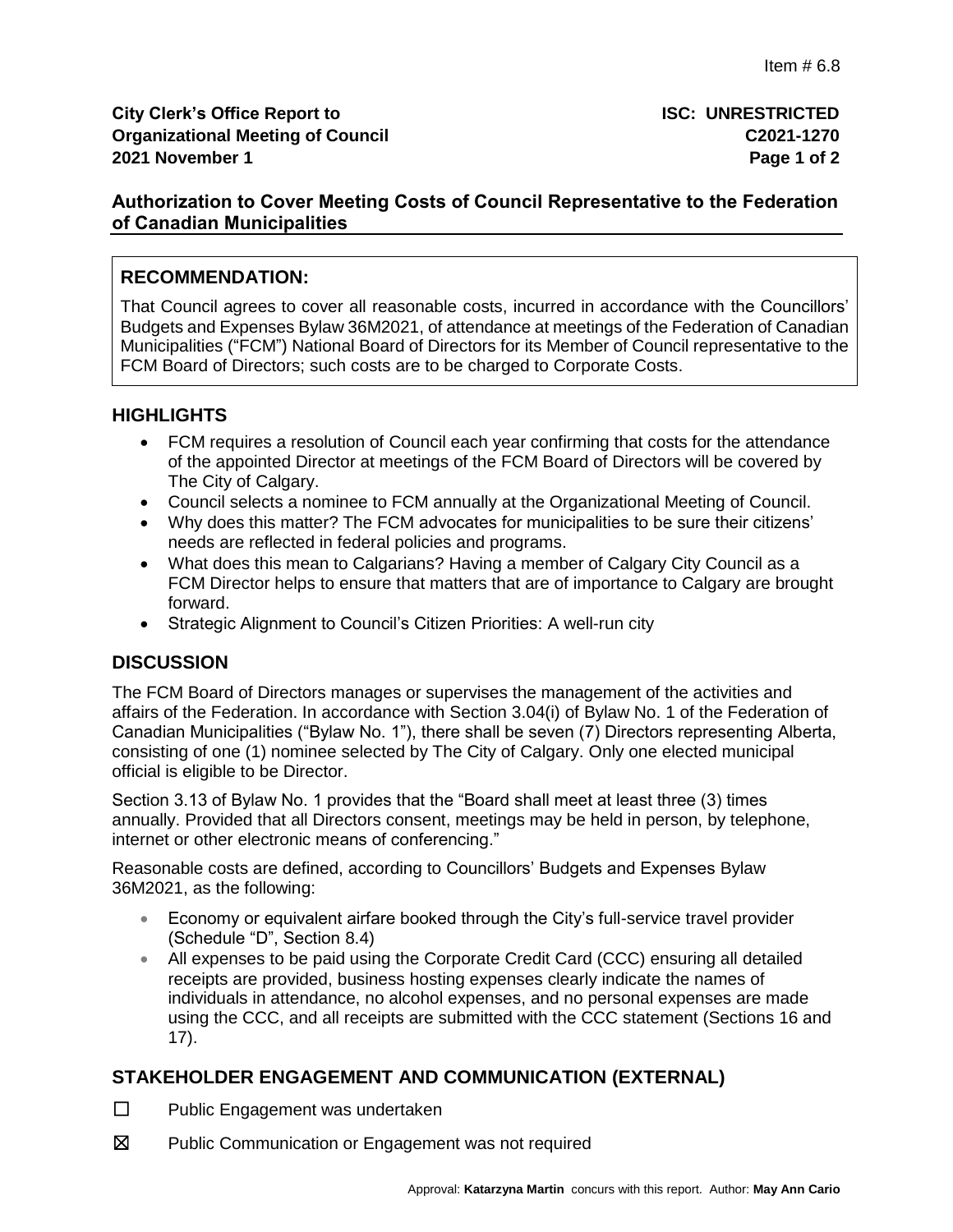# **Authorization to Cover Meeting Costs of Council Representative to the Federation of Canadian Municipalities**

# **RECOMMENDATION:**

That Council agrees to cover all reasonable costs, incurred in accordance with the Councillors' Budgets and Expenses Bylaw 36M2021, of attendance at meetings of the Federation of Canadian Municipalities ("FCM") National Board of Directors for its Member of Council representative to the FCM Board of Directors; such costs are to be charged to Corporate Costs.

# **HIGHLIGHTS**

- FCM requires a resolution of Council each year confirming that costs for the attendance of the appointed Director at meetings of the FCM Board of Directors will be covered by The City of Calgary.
- Council selects a nominee to FCM annually at the Organizational Meeting of Council.
- Why does this matter? The FCM advocates for municipalities to be sure their citizens' needs are reflected in federal policies and programs.
- What does this mean to Calgarians? Having a member of Calgary City Council as a FCM Director helps to ensure that matters that are of importance to Calgary are brought forward.
- Strategic Alignment to Council's Citizen Priorities: A well-run city

## **DISCUSSION**

The FCM Board of Directors manages or supervises the management of the activities and affairs of the Federation. In accordance with Section 3.04(i) of Bylaw No. 1 of the Federation of Canadian Municipalities ("Bylaw No. 1"), there shall be seven (7) Directors representing Alberta, consisting of one (1) nominee selected by The City of Calgary. Only one elected municipal official is eligible to be Director.

Section 3.13 of Bylaw No. 1 provides that the "Board shall meet at least three (3) times annually. Provided that all Directors consent, meetings may be held in person, by telephone, internet or other electronic means of conferencing."

Reasonable costs are defined, according to Councillors' Budgets and Expenses Bylaw 36M2021, as the following:

- Economy or equivalent airfare booked through the City's full-service travel provider (Schedule "D", Section 8.4)
- All expenses to be paid using the Corporate Credit Card (CCC) ensuring all detailed receipts are provided, business hosting expenses clearly indicate the names of individuals in attendance, no alcohol expenses, and no personal expenses are made using the CCC, and all receipts are submitted with the CCC statement (Sections 16 and 17).

## **STAKEHOLDER ENGAGEMENT AND COMMUNICATION (EXTERNAL)**

- ☐ Public Engagement was undertaken
- ☒ Public Communication or Engagement was not required